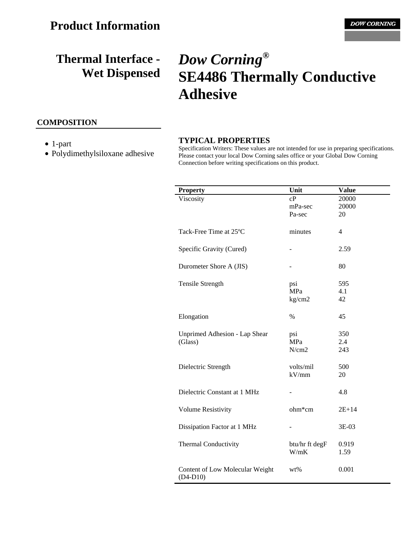## **COMPOSITION**

- 1-part
- Polydimethylsiloxane adhesive

# *Dow Corning***® SE4486 Thermally Conductive Adhesive**

#### **TYPICAL PROPERTIES**

Specification Writers: These values are not intended for use in preparing specifications. Please contact your local Dow Corning sales office or your Global Dow Corning Connection before writing specifications on this product.

| <b>Property</b>                 | Unit           | <b>Value</b>   |
|---------------------------------|----------------|----------------|
| Viscosity                       | cP             | 20000          |
|                                 | mPa-sec        | 20000          |
|                                 | Pa-sec         | 20             |
|                                 |                |                |
| Tack-Free Time at 25°C          | minutes        | $\overline{4}$ |
|                                 |                |                |
| Specific Gravity (Cured)        |                | 2.59           |
|                                 |                |                |
| Durometer Shore A (JIS)         |                | 80             |
|                                 |                |                |
| Tensile Strength                | psi            | 595            |
|                                 | MPa            | 4.1            |
|                                 | kg/cm2         | 42             |
|                                 |                |                |
| Elongation                      | $\%$           | 45             |
|                                 |                |                |
| Unprimed Adhesion - Lap Shear   | psi            | 350            |
| (Glass)                         | <b>MPa</b>     | 2.4            |
|                                 | N/cm2          | 243            |
|                                 |                |                |
| Dielectric Strength             | volts/mil      | 500            |
|                                 | kV/mm          | 20             |
|                                 |                |                |
| Dielectric Constant at 1 MHz    |                | 4.8            |
|                                 |                |                |
| <b>Volume Resistivity</b>       | ohm*cm         | $2E + 14$      |
|                                 |                |                |
| Dissipation Factor at 1 MHz     |                | 3E-03          |
|                                 |                |                |
| <b>Thermal Conductivity</b>     | btu/hr ft degF | 0.919          |
|                                 | W/mK           | 1.59           |
|                                 |                |                |
| Content of Low Molecular Weight | wt%            | 0.001          |
| $(D4-D10)$                      |                |                |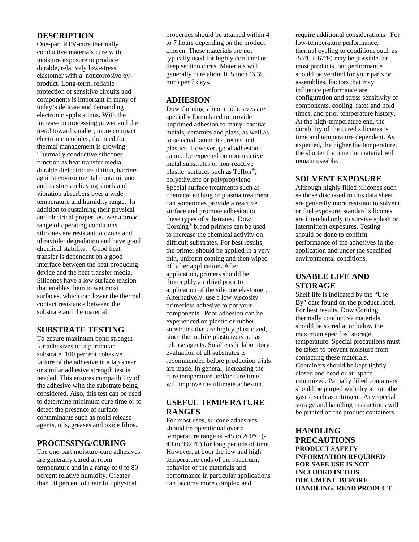#### **DESCRIPTION**

One-part RTV-cure thermally conductive materials cure with moisture exposure to produce durable, relatively low-stress elastomer with a noncorrosive byproduct. Long-term, reliable protection of sensitive circuits and components is important in many of today's delicate and demanding electronic applications. With the increase in processing power and the trend toward smaller, more compact electronic modules, the need for thermal management is growing. Thermally conductive silicones function as heat transfer media, durable dielectric insulation, barriers against environmental contaminants and as stress-relieving shock and vibration absorbers over a wide temperature and humidity range. In addition to sustaining their physical and electrical properties over a broad range of operating conditions, silicones are resistant to ozone and ultraviolet degradation and have good chemical stability. Good heat transfer is dependent on a good interface between the heat producing device and the heat transfer media. Silicones have a low surface tension that enables them to wet most surfaces, which can lower the thermal contact resistance between the substrate and the material.

## **SUBSTRATE TESTING**

To ensure maximum bond strength for adhesives on a particular substrate, 100 percent cohesive failure of the adhesive in a lap shear or similar adhesive strength test is needed. This ensures compatibility of the adhesive with the substrate being considered. Also, this test can be used to determine minimum cure time or to detect the presence of surface contaminants such as mold release agents, oils, greases and oxide films.

## **PROCESSING/CURING**

The one-part moisture-cure adhesives are generally cured at room temperature and in a range of 0 to 80 percent relative humidity. Greater than 90 percent of their full physical

properties should be attained within 4 to 7 hours depending on the product chosen. These materials are not typically used for highly confined or deep section cures. Materials will generally cure about 0. 5 inch (6.35 mm) per 7 days.

#### **ADHESION**

Dow Corning silicone adhesives are specially formulated to provide unprimed adhesion to many reactive metals, ceramics and glass, as well as to selected laminates, resins and plastics. However, good adhesion cannot be expected on non-reactive metal substrates or non-reactive plastic surfaces such as Teflon®, polyethylene or polypropylene. Special surface treatments such as chemical etching or plasma treatment can sometimes provide a reactive surface and promote adhesion to these types of substrates. Dow Corning® brand primers can be used to increase the chemical activity on difficult substrates. For best results, the primer should be applied in a very thin, uniform coating and then wiped off after application. After application, primers should be thoroughly air dried prior to application of the silicone elastomer. Alternatively, use a low-viscosity primerless adhesive to pot your components. Poor adhesion can be experienced on plastic or rubber substrates that are highly plasticized, since the mobile plasticizers act as release agents. Small-scale laboratory evaluation of all substrates is recommended before production trials are made. In general, increasing the cure temperature and/or cure time will improve the ultimate adhesion.

# **USEFUL TEMPERATURE RANGES**

For most uses, silicone adhesives should be operational over a temperature range of -45 to 200ºC (- 49 to 392 ºF) for long periods of time. However, at both the low and high temperature ends of the spectrum, behavior of the materials and performance in particular applications can become more complex and

require additional considerations. For low-temperature performance, thermal cycling to conditions such as -55ºC (-67ºF) may be possible for most products, but performance should be verified for your parts or assemblies. Factors that may influence performance are configuration and stress sensitivity of components, cooling rates and hold times, and prior temperature history. At the high-temperature end, the durability of the cured silicones is time and temperature dependent. As expected, the higher the temperature, the shorter the time the material will remain useable.

## **SOLVENT EXPOSURE**

Although highly filled silicones such as those discussed in this data sheet are generally more resistant to solvent or fuel exposure, standard silicones are intended only to survive splash or intermittent exposures. Testing should be done to confirm performance of the adhesives in the application and under the specified environmental conditions.

## **USABLE LIFE AND STORAGE**

Shelf life is indicated by the "Use By" date found on the product label. For best results, Dow Corning thermally conductive materials should be stored at or below the maximum specified storage temperature. Special precautions must be taken to prevent moisture from contacting these materials. Containers should be kept tightly closed and head or air space minimized. Partially filled containers should be purged with dry air or other gases, such as nitrogen. Any special storage and handling instructions will be printed on the product containers.

**HANDLING PRECAUTIONS PRODUCT SAFETY INFORMATION REQUIRED FOR SAFE USE IS NOT INCLUDED IN THIS DOCUMENT. BEFORE HANDLING, READ PRODUCT**